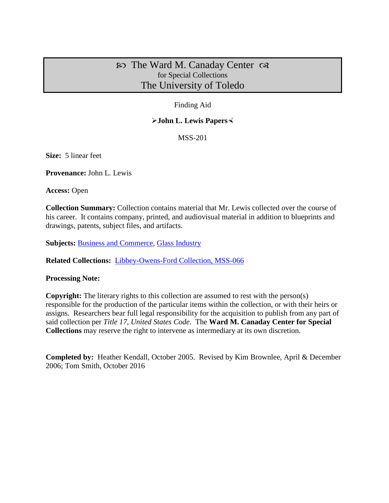# $\infty$  The Ward M. Canaday Center  $\infty$ for Special Collections The University of Toledo

#### Finding Aid

#### **John L. Lewis Papers**

MSS-201

**Size:** 5 linear feet

**Provenance:** John L. Lewis

**Access:** Open

**Collection Summary:** Collection contains material that Mr. Lewis collected over the course of his career. It contains company, printed, and audiovisual material in addition to blueprints and drawings, patents, subject files, and artifacts.

**Subjects: [Business and Commerce,](http://www.utoledo.edu/library/canaday/guidepages/business.html) [Glass Industry](http://www.utoledo.edu/library/canaday/guidepages/glass.html)** 

**Related Collections:** [Libbey-Owens-Ford Collection, MSS-066](http://www.utoledo.edu/library/canaday/findingaids1/MSS-066.pdf)

#### **Processing Note:**

**Copyright:** The literary rights to this collection are assumed to rest with the person(s) responsible for the production of the particular items within the collection, or with their heirs or assigns. Researchers bear full legal responsibility for the acquisition to publish from any part of said collection per *Title 17, United States Code*. The **Ward M. Canaday Center for Special Collections** may reserve the right to intervene as intermediary at its own discretion.

**Completed by:** Heather Kendall, October 2005. Revised by Kim Brownlee, April & December 2006; Tom Smith, October 2016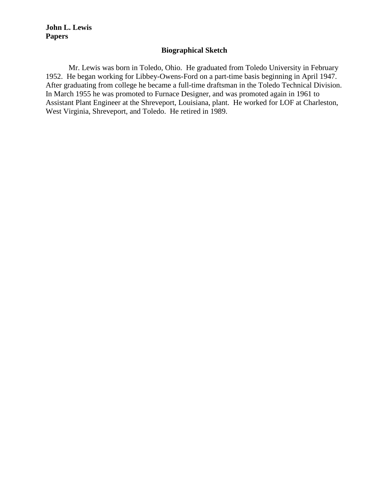#### **Biographical Sketch**

Mr. Lewis was born in Toledo, Ohio. He graduated from Toledo University in February 1952. He began working for Libbey-Owens-Ford on a part-time basis beginning in April 1947. After graduating from college he became a full-time draftsman in the Toledo Technical Division. In March 1955 he was promoted to Furnace Designer, and was promoted again in 1961 to Assistant Plant Engineer at the Shreveport, Louisiana, plant. He worked for LOF at Charleston, West Virginia, Shreveport, and Toledo. He retired in 1989.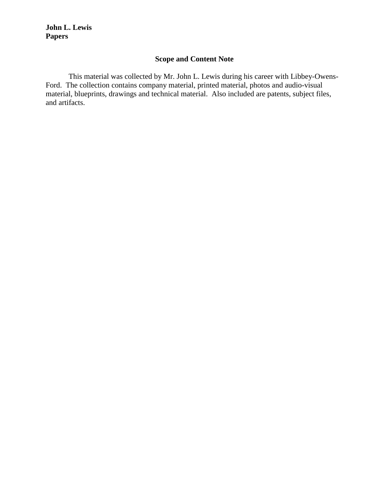### **Scope and Content Note**

This material was collected by Mr. John L. Lewis during his career with Libbey-Owens-Ford. The collection contains company material, printed material, photos and audio-visual material, blueprints, drawings and technical material. Also included are patents, subject files, and artifacts.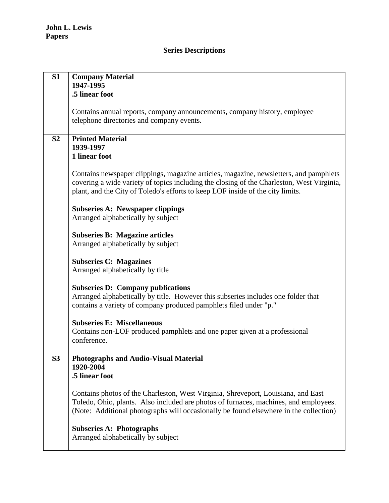# **Series Descriptions**

| S <sub>1</sub> | <b>Company Material</b><br>1947-1995                                                                                                                                                                                                                                 |
|----------------|----------------------------------------------------------------------------------------------------------------------------------------------------------------------------------------------------------------------------------------------------------------------|
|                | .5 linear foot                                                                                                                                                                                                                                                       |
|                | Contains annual reports, company announcements, company history, employee<br>telephone directories and company events.                                                                                                                                               |
| S <sub>2</sub> | <b>Printed Material</b>                                                                                                                                                                                                                                              |
|                | 1939-1997                                                                                                                                                                                                                                                            |
|                | 1 linear foot                                                                                                                                                                                                                                                        |
|                | Contains newspaper clippings, magazine articles, magazine, newsletters, and pamphlets<br>covering a wide variety of topics including the closing of the Charleston, West Virginia,<br>plant, and the City of Toledo's efforts to keep LOF inside of the city limits. |
|                | <b>Subseries A: Newspaper clippings</b><br>Arranged alphabetically by subject                                                                                                                                                                                        |
|                | <b>Subseries B: Magazine articles</b><br>Arranged alphabetically by subject                                                                                                                                                                                          |
|                | <b>Subseries C: Magazines</b><br>Arranged alphabetically by title                                                                                                                                                                                                    |
|                | <b>Subseries D: Company publications</b><br>Arranged alphabetically by title. However this subseries includes one folder that<br>contains a variety of company produced pamphlets filed under "p."                                                                   |
|                | <b>Subseries E: Miscellaneous</b><br>Contains non-LOF produced pamphlets and one paper given at a professional<br>conference.                                                                                                                                        |
| S <sub>3</sub> |                                                                                                                                                                                                                                                                      |
|                | <b>Photographs and Audio-Visual Material</b><br>1920-2004                                                                                                                                                                                                            |
|                | .5 linear foot                                                                                                                                                                                                                                                       |
|                | Contains photos of the Charleston, West Virginia, Shreveport, Louisiana, and East<br>Toledo, Ohio, plants. Also included are photos of furnaces, machines, and employees.<br>(Note: Additional photographs will occasionally be found elsewhere in the collection)   |
|                | <b>Subseries A: Photographs</b><br>Arranged alphabetically by subject                                                                                                                                                                                                |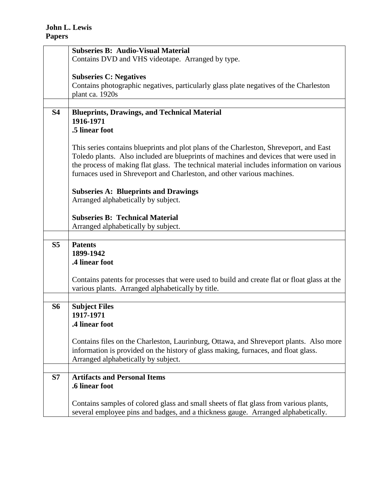|                | <b>Subseries B: Audio-Visual Material</b>                                                    |
|----------------|----------------------------------------------------------------------------------------------|
|                | Contains DVD and VHS videotape. Arranged by type.                                            |
|                |                                                                                              |
|                | <b>Subseries C: Negatives</b>                                                                |
|                | Contains photographic negatives, particularly glass plate negatives of the Charleston        |
|                | plant ca. 1920s                                                                              |
|                |                                                                                              |
| <b>S4</b>      | <b>Blueprints, Drawings, and Technical Material</b>                                          |
|                | 1916-1971                                                                                    |
|                | .5 linear foot                                                                               |
|                |                                                                                              |
|                | This series contains blueprints and plot plans of the Charleston, Shreveport, and East       |
|                | Toledo plants. Also included are blueprints of machines and devices that were used in        |
|                | the process of making flat glass. The technical material includes information on various     |
|                | furnaces used in Shreveport and Charleston, and other various machines.                      |
|                |                                                                                              |
|                | <b>Subseries A: Blueprints and Drawings</b>                                                  |
|                | Arranged alphabetically by subject.                                                          |
|                |                                                                                              |
|                | <b>Subseries B: Technical Material</b>                                                       |
|                | Arranged alphabetically by subject.                                                          |
| S <sub>5</sub> | <b>Patents</b>                                                                               |
|                | 1899-1942                                                                                    |
|                | .4 linear foot                                                                               |
|                |                                                                                              |
|                | Contains patents for processes that were used to build and create flat or float glass at the |
|                | various plants. Arranged alphabetically by title.                                            |
|                |                                                                                              |
| <b>S6</b>      | <b>Subject Files</b>                                                                         |
|                | 1917-1971                                                                                    |
|                | .4 linear foot                                                                               |
|                |                                                                                              |
|                | Contains files on the Charleston, Laurinburg, Ottawa, and Shreveport plants. Also more       |
|                | information is provided on the history of glass making, furnaces, and float glass.           |
|                | Arranged alphabetically by subject.                                                          |
|                |                                                                                              |
| S7             | <b>Artifacts and Personal Items</b>                                                          |
|                | .6 linear foot                                                                               |
|                |                                                                                              |
|                | Contains samples of colored glass and small sheets of flat glass from various plants,        |
|                | several employee pins and badges, and a thickness gauge. Arranged alphabetically.            |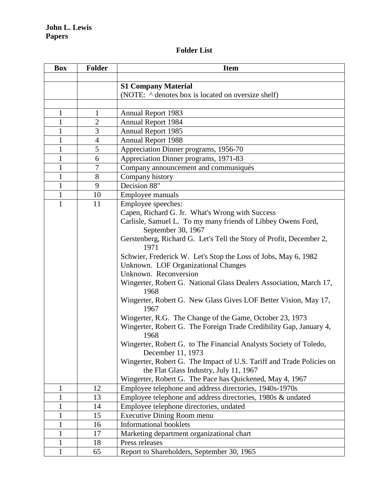## **Folder List**

| <b>Box</b>   | <b>Folder</b>  | <b>Item</b>                                                                            |
|--------------|----------------|----------------------------------------------------------------------------------------|
|              |                |                                                                                        |
|              |                | <b>S1 Company Material</b>                                                             |
|              |                | (NOTE: $\land$ denotes box is located on oversize shelf)                               |
|              |                |                                                                                        |
| $\mathbf{1}$ | $\mathbf{1}$   | <b>Annual Report 1983</b>                                                              |
| $\mathbf{1}$ | $\mathbf{2}$   | <b>Annual Report 1984</b>                                                              |
| $\mathbf{1}$ | 3              | <b>Annual Report 1985</b>                                                              |
| $\mathbf{1}$ | $\overline{4}$ | <b>Annual Report 1988</b>                                                              |
| $\mathbf{1}$ | 5              | Appreciation Dinner programs, 1956-70                                                  |
| $\mathbf{1}$ | 6              | Appreciation Dinner programs, 1971-83                                                  |
| $\mathbf{1}$ | $\overline{7}$ | Company announcement and communiqués                                                   |
| $\mathbf{1}$ | 8              | Company history                                                                        |
| $\mathbf{1}$ | 9              | Decision 88"                                                                           |
| $\mathbf{1}$ | 10             | Employee manuals                                                                       |
| $\mathbf{1}$ | 11             | Employee speeches:                                                                     |
|              |                | Capen, Richard G. Jr. What's Wrong with Success                                        |
|              |                | Carlisle, Samuel L. To my many friends of Libbey Owens Ford,                           |
|              |                | September 30, 1967                                                                     |
|              |                | Gerstenberg, Richard G. Let's Tell the Story of Profit, December 2,                    |
|              |                | 1971                                                                                   |
|              |                | Schwier, Frederick W. Let's Stop the Loss of Jobs, May 6, 1982                         |
|              |                | Unknown. LOF Organizational Changes                                                    |
|              |                | Unknown. Reconversion                                                                  |
|              |                | Wingerter, Robert G. National Glass Dealers Association, March 17,<br>1968             |
|              |                | Wingerter, Robert G. New Glass Gives LOF Better Vision, May 17,<br>1967                |
|              |                | Wingerter, R.G. The Change of the Game, October 23, 1973                               |
|              |                | Wingerter, Robert G. The Foreign Trade Credibility Gap, January 4,                     |
|              |                | 1968                                                                                   |
|              |                | Wingerter, Robert G. to The Financial Analysts Society of Toledo,<br>December 11, 1973 |
|              |                | Wingerter, Robert G. The Impact of U.S. Tariff and Trade Policies on                   |
|              |                | the Flat Glass Industry, July 11, 1967                                                 |
|              |                | Wingerter, Robert G. The Pace has Quickened, May 4, 1967                               |
| $\mathbf{1}$ | 12             | Employee telephone and address directories, 1940s-1970s                                |
| $\mathbf{1}$ | 13             | Employee telephone and address directories, 1980s & undated                            |
| $\mathbf{1}$ | 14             | Employee telephone directories, undated                                                |
| 1            | 15             | <b>Executive Dining Room menu</b>                                                      |
| $\mathbf{1}$ | 16             | <b>Informational booklets</b>                                                          |
| $\mathbf{1}$ | 17             | Marketing department organizational chart                                              |
| $\mathbf{1}$ | 18             | Press releases                                                                         |
| $\mathbf{1}$ | 65             | Report to Shareholders, September 30, 1965                                             |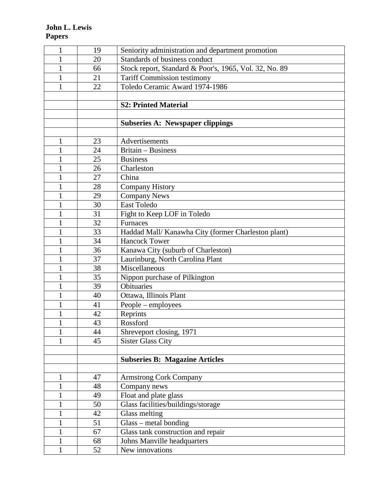|              | 19 | Seniority administration and department promotion      |
|--------------|----|--------------------------------------------------------|
|              | 20 | Standards of business conduct                          |
|              | 66 | Stock report, Standard & Poor's, 1965, Vol. 32, No. 89 |
| 1            | 21 | Tariff Commission testimony                            |
| 1            | 22 | Toledo Ceramic Award 1974-1986                         |
|              |    |                                                        |
|              |    | <b>S2: Printed Material</b>                            |
|              |    |                                                        |
|              |    | <b>Subseries A: Newspaper clippings</b>                |
|              |    |                                                        |
| $\mathbf{1}$ | 23 | Advertisements                                         |
| $\mathbf{1}$ | 24 | Britain - Business                                     |
| 1            | 25 | <b>Business</b>                                        |
|              | 26 | Charleston                                             |
|              | 27 | China                                                  |
| $\mathbf{1}$ | 28 | <b>Company History</b>                                 |
|              | 29 | <b>Company News</b>                                    |
|              | 30 | <b>East Toledo</b>                                     |
|              | 31 | Fight to Keep LOF in Toledo                            |
| 1            | 32 | <b>Furnaces</b>                                        |
| $\mathbf{1}$ | 33 | Haddad Mall/ Kanawha City (former Charleston plant)    |
| 1            | 34 | <b>Hancock Tower</b>                                   |
|              | 36 | Kanawa City (suburb of Charleston)                     |
| $\mathbf{1}$ | 37 | Laurinburg, North Carolina Plant                       |
| $\mathbf{1}$ | 38 | Miscellaneous                                          |
| $\mathbf{1}$ | 35 | Nippon purchase of Pilkington                          |
|              | 39 | <b>Obituaries</b>                                      |
|              | 40 | Ottawa, Illinois Plant                                 |
| 1            | 41 | People – employees                                     |
|              | 42 | Reprints                                               |
|              | 43 | Rossford                                               |
| $\mathbf{1}$ | 44 | Shreveport closing, 1971                               |
|              | 45 | <b>Sister Glass City</b>                               |
|              |    |                                                        |
|              |    | <b>Subseries B: Magazine Articles</b>                  |
|              |    |                                                        |
| $\mathbf{1}$ | 47 | <b>Armstrong Cork Company</b>                          |
| $\mathbf{1}$ | 48 | Company news                                           |
| $\mathbf{1}$ | 49 | Float and plate glass                                  |
| $\mathbf{1}$ | 50 | Glass facilities/buildings/storage                     |
| $\mathbf{1}$ | 42 | Glass melting                                          |
| $\mathbf{1}$ | 51 | Glass - metal bonding                                  |
| $\mathbf{1}$ | 67 | Glass tank construction and repair                     |
| $\mathbf{1}$ | 68 | <b>Johns Manville headquarters</b>                     |
| $\mathbf 1$  | 52 | New innovations                                        |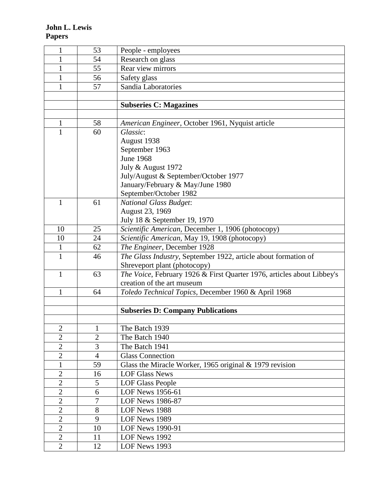| 1              | 53             | People - employees                                                     |
|----------------|----------------|------------------------------------------------------------------------|
| 1              | 54             | Research on glass                                                      |
| 1              | 55             | Rear view mirrors                                                      |
| 1              | 56             | Safety glass                                                           |
| $\mathbf{1}$   | 57             | Sandia Laboratories                                                    |
|                |                |                                                                        |
|                |                | <b>Subseries C: Magazines</b>                                          |
|                |                |                                                                        |
| $\mathbf{1}$   | 58             | American Engineer, October 1961, Nyquist article                       |
| $\overline{1}$ | 60             | Glassic:                                                               |
|                |                | August 1938                                                            |
|                |                | September 1963                                                         |
|                |                | <b>June 1968</b>                                                       |
|                |                | July & August 1972                                                     |
|                |                | July/August & September/October 1977                                   |
|                |                | January/February & May/June 1980                                       |
|                |                | September/October 1982                                                 |
| $\mathbf{1}$   | 61             | <b>National Glass Budget:</b>                                          |
|                |                | August 23, 1969                                                        |
|                |                | July 18 & September 19, 1970                                           |
| 10             | 25             | Scientific American, December 1, 1906 (photocopy)                      |
| 10             | 24             | Scientific American, May 19, 1908 (photocopy)                          |
| $\mathbf{1}$   | 62             | The Engineer, December 1928                                            |
| $\mathbf{1}$   | 46             | The Glass Industry, September 1922, article about formation of         |
|                |                | Shreveport plant (photocopy)                                           |
| $\mathbf{1}$   | 63             | The Voice, February 1926 & First Quarter 1976, articles about Libbey's |
|                |                | creation of the art museum                                             |
| 1              | 64             | Toledo Technical Topics, December 1960 & April 1968                    |
|                |                |                                                                        |
|                |                | <b>Subseries D: Company Publications</b>                               |
|                |                |                                                                        |
| $\overline{c}$ | 1              | The Batch 1939                                                         |
| $\overline{2}$ | $\overline{2}$ | The Batch 1940                                                         |
| $\overline{2}$ | 3              | The Batch 1941                                                         |
| $\overline{2}$ | $\overline{4}$ | <b>Glass Connection</b>                                                |
| $\mathbf{1}$   | 59             | Glass the Miracle Worker, 1965 original $&$ 1979 revision              |
| $\mathbf{2}$   | 16             | <b>LOF Glass News</b>                                                  |
| $\overline{2}$ | 5              | <b>LOF Glass People</b>                                                |
| $\overline{2}$ | 6              | LOF News 1956-61                                                       |
| $\overline{2}$ | $\overline{7}$ | <b>LOF News 1986-87</b>                                                |
| $\overline{2}$ | 8              | LOF News 1988                                                          |
| $\overline{2}$ | 9              | LOF News 1989                                                          |
| $\overline{2}$ | 10             | LOF News 1990-91                                                       |
| $\overline{2}$ | 11             | LOF News 1992                                                          |
| $\overline{2}$ | 12             | LOF News 1993                                                          |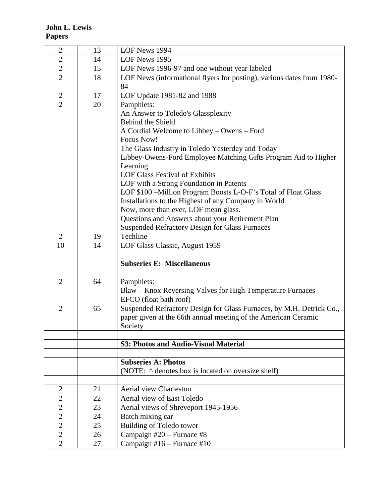| $\mathbf{2}$   | 13 | LOF News 1994                                                         |
|----------------|----|-----------------------------------------------------------------------|
| $\overline{2}$ | 14 | LOF News 1995                                                         |
| $\overline{2}$ | 15 | LOF News 1996-97 and one without year labeled                         |
| $\overline{2}$ | 18 | LOF News (informational flyers for posting), various dates from 1980- |
|                |    | 84                                                                    |
| $\sqrt{2}$     | 17 | LOF Update 1981-82 and 1988                                           |
| $\overline{2}$ | 20 | Pamphlets:                                                            |
|                |    | An Answer to Toledo's Glassplexity                                    |
|                |    | Behind the Shield                                                     |
|                |    | A Cordial Welcome to Libbey – Owens – Ford                            |
|                |    | Focus Now!                                                            |
|                |    | The Glass Industry in Toledo Yesterday and Today                      |
|                |    | Libbey-Owens-Ford Employee Matching Gifts Program Aid to Higher       |
|                |    | Learning                                                              |
|                |    | <b>LOF Glass Festival of Exhibits</b>                                 |
|                |    | LOF with a Strong Foundation in Patents                               |
|                |    | LOF \$100 -Million Program Boosts L-O-F's Total of Float Glass        |
|                |    | Installations to the Highest of any Company in World                  |
|                |    | Now, more than ever, LOF mean glass.                                  |
|                |    | Questions and Answers about your Retirement Plan                      |
|                |    | <b>Suspended Refractory Design for Glass Furnaces</b>                 |
| $\overline{2}$ | 19 | Techline                                                              |
| 10             | 14 | LOF Glass Classic, August 1959                                        |
|                |    |                                                                       |
|                |    | <b>Subseries E: Miscellaneous</b>                                     |
|                |    |                                                                       |
| $\overline{2}$ | 64 | Pamphlets:                                                            |
|                |    | Blaw – Knox Reversing Valves for High Temperature Furnaces            |
|                |    | EFCO (float bath roof)                                                |
| $\overline{2}$ | 65 | Suspended Refractory Design for Glass Furnaces, by M.H. Detrick Co.,  |
|                |    | paper given at the 66th annual meeting of the American Ceramic        |
|                |    | Society                                                               |
|                |    |                                                                       |
|                |    | S3: Photos and Audio-Visual Material                                  |
|                |    |                                                                       |
|                |    | <b>Subseries A: Photos</b>                                            |
|                |    | (NOTE: $\land$ denotes box is located on oversize shelf)              |
|                |    |                                                                       |
| $\overline{2}$ | 21 | Aerial view Charleston                                                |
| $\overline{2}$ | 22 | Aerial view of East Toledo                                            |
| $\overline{2}$ | 23 | Aerial views of Shreveport 1945-1956                                  |
| $\overline{2}$ | 24 | Batch mixing car                                                      |
| $\overline{2}$ | 25 | Building of Toledo tower                                              |
| $\overline{2}$ | 26 | Campaign #20 - Furnace #8                                             |
| $\overline{2}$ | 27 | Campaign #16 - Furnace #10                                            |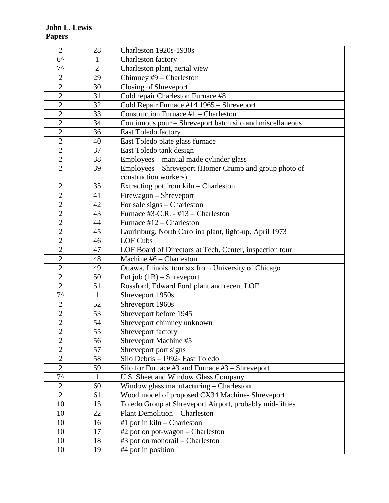| $\overline{2}$ | 28             | Charleston 1920s-1930s                                    |
|----------------|----------------|-----------------------------------------------------------|
| $6^{\wedge}$   | 1              | Charleston factory                                        |
| $7^{\wedge}$   | $\overline{2}$ | Charleston plant, aerial view                             |
| $\overline{2}$ | 29             | Chimney #9 - Charleston                                   |
| $\overline{2}$ | 30             | Closing of Shreveport                                     |
| $\overline{2}$ | 31             | Cold repair Charleston Furnace #8                         |
| $\overline{c}$ | 32             | Cold Repair Furnace #14 1965 - Shreveport                 |
| $\overline{2}$ | 33             | Construction Furnace #1 - Charleston                      |
| $\overline{2}$ | 34             | Continuous pour - Shreveport batch silo and miscellaneous |
| $\overline{2}$ | 36             | East Toledo factory                                       |
| $\overline{2}$ | 40             | East Toledo plate glass furnace                           |
| $\overline{2}$ | 37             | East Toledo tank design                                   |
| $\overline{2}$ | 38             | Employees - manual made cylinder glass                    |
| $\overline{2}$ | 39             | Employees - Shreveport (Homer Crump and group photo of    |
|                |                | construction workers)                                     |
| $\overline{2}$ | 35             | Extracting pot from kiln – Charleston                     |
| $\overline{2}$ | 41             | Firewagon - Shreveport                                    |
| $\overline{2}$ | 42             | For sale signs - Charleston                               |
| $\overline{2}$ | 43             | Furnace #3-C.R. - #13 - Charleston                        |
| $\overline{2}$ | 44             | Furnace #12 - Charleston                                  |
| $\overline{2}$ | 45             | Laurinburg, North Carolina plant, light-up, April 1973    |
| $\overline{2}$ | 46             | <b>LOF Cubs</b>                                           |
| $\overline{2}$ | 47             | LOF Board of Directors at Tech. Center, inspection tour   |
| $\overline{2}$ | 48             | Machine #6 - Charleston                                   |
| $\overline{2}$ | 49             | Ottawa, Illinois, tourists from University of Chicago     |
| $\overline{2}$ | 50             | Pot job $(1B)$ – Shreveport                               |
| $\overline{2}$ | 51             | Rossford, Edward Ford plant and recent LOF                |
| $7^{\wedge}$   | $\mathbf 1$    | Shreveport 1950s                                          |
| $\overline{2}$ | 52             | Shreveport 1960s                                          |
| $\overline{2}$ | 53             | Shreveport before 1945                                    |
| $\overline{2}$ | 54             | Shreveport chimney unknown                                |
| $\sqrt{2}$     | 55             | Shreveport factory                                        |
| $\overline{2}$ | 56             | <b>Shreveport Machine #5</b>                              |
| $\overline{2}$ | 57             | Shreveport port signs                                     |
| $\overline{2}$ | 58             | Silo Debris - 1992- East Toledo                           |
| $\overline{2}$ | 59             | Silo for Furnace $#3$ and Furnace $#3$ – Shreveport       |
| $7^{\wedge}$   | $\mathbf{1}$   | U.S. Sheet and Window Glass Company                       |
| $\sqrt{2}$     | 60             | Window glass manufacturing - Charleston                   |
| $\overline{2}$ | 61             | Wood model of proposed CX34 Machine- Shreveport           |
| 10             | 15             | Toledo Group at Shreveport Airport, probably mid-fifties  |
| 10             | 22             | <b>Plant Demolition – Charleston</b>                      |
| 10             | 16             | #1 pot in kiln – Charleston                               |
| 10             | 17             | #2 pot on pot-wagon – Charleston                          |
| 10             | 18             | #3 pot on monorail – Charleston                           |
| 10             | 19             | #4 pot in position                                        |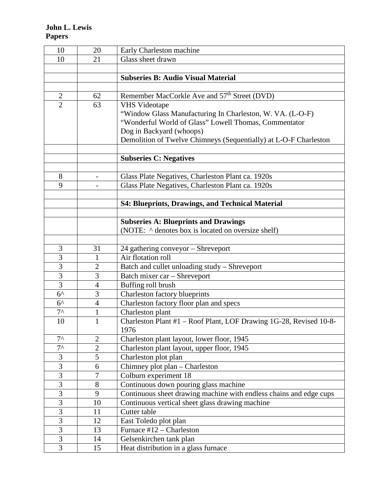| 10             | 20                       | Early Charleston machine                                           |
|----------------|--------------------------|--------------------------------------------------------------------|
| 10             | 21                       | Glass sheet drawn                                                  |
|                |                          |                                                                    |
|                |                          | <b>Subseries B: Audio Visual Material</b>                          |
|                |                          |                                                                    |
| $\mathbf{2}$   | 62                       | Remember MacCorkle Ave and 57 <sup>th</sup> Street (DVD)           |
| $\overline{2}$ | 63                       | <b>VHS Videotape</b>                                               |
|                |                          | "Window Glass Manufacturing In Charleston, W. VA. (L-O-F)          |
|                |                          | "Wonderful World of Glass" Lowell Thomas, Commentator              |
|                |                          | Dog in Backyard (whoops)                                           |
|                |                          | Demolition of Twelve Chimneys (Sequentially) at L-O-F Charleston   |
|                |                          |                                                                    |
|                |                          | <b>Subseries C: Negatives</b>                                      |
|                |                          |                                                                    |
| 8              | $\overline{\phantom{0}}$ | Glass Plate Negatives, Charleston Plant ca. 1920s                  |
| 9              |                          | Glass Plate Negatives, Charleston Plant ca. 1920s                  |
|                |                          |                                                                    |
|                |                          | <b>S4: Blueprints, Drawings, and Technical Material</b>            |
|                |                          |                                                                    |
|                |                          | <b>Subseries A: Blueprints and Drawings</b>                        |
|                |                          | (NOTE: $\land$ denotes box is located on oversize shelf)           |
|                |                          |                                                                    |
| 3              | 31                       | 24 gathering conveyor - Shreveport                                 |
| 3              | 1                        | Air flotation roll                                                 |
| 3              | $\mathbf{2}$             | Batch and cullet unloading study - Shreveport                      |
| $\overline{3}$ | 3                        | Batch mixer car - Shreveport                                       |
| $\overline{3}$ | $\overline{4}$           | Buffing roll brush                                                 |
| $6^{\wedge}$   | 3                        | Charleston factory blueprints                                      |
| $6^{\wedge}$   | $\overline{4}$           | Charleston factory floor plan and specs                            |
| $7^{\wedge}$   | 1                        | Charleston plant                                                   |
| 10             | $\mathbf 1$              | Charleston Plant #1 - Roof Plant, LOF Drawing 1G-28, Revised 10-8- |
|                |                          | 1976                                                               |
| $7^{\wedge}$   | $\overline{2}$           | Charleston plant layout, lower floor, 1945                         |
| $7^{\wedge}$   | $\overline{2}$           | Charleston plant layout, upper floor, 1945                         |
| 3              | 5                        | Charleston plot plan                                               |
| 3              | 6                        | Chimney plot plan – Charleston                                     |
| 3              | $\overline{7}$           | Colburn experiment 18                                              |
| $\overline{3}$ | 8                        | Continuous down pouring glass machine                              |
| $\overline{3}$ | 9                        | Continuous sheet drawing machine with endless chains and edge cups |
| $\overline{3}$ | 10                       | Continuous vertical sheet glass drawing machine                    |
| $\overline{3}$ | 11                       | Cutter table                                                       |
| $\overline{3}$ | 12                       | East Toledo plot plan                                              |
| $\overline{3}$ | 13                       | Furnace #12 - Charleston                                           |
| $\overline{3}$ | 14                       | Gelsenkirchen tank plan                                            |
| $\overline{3}$ | 15                       | Heat distribution in a glass furnace                               |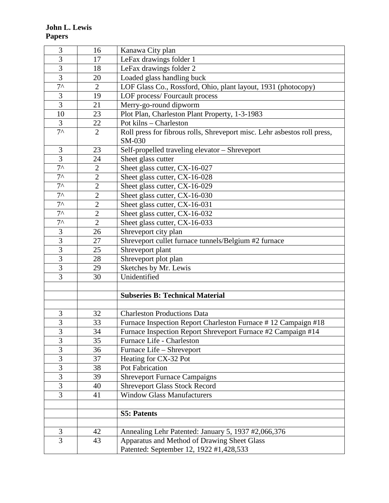| 3                       | 16             | Kanawa City plan                                                         |
|-------------------------|----------------|--------------------------------------------------------------------------|
| $\overline{3}$          | 17             | LeFax drawings folder 1                                                  |
| $\overline{3}$          | 18             | LeFax drawings folder 2                                                  |
| $\overline{3}$          | 20             | Loaded glass handling buck                                               |
| $7^{\wedge}$            | $\overline{2}$ | LOF Glass Co., Rossford, Ohio, plant layout, 1931 (photocopy)            |
| 3                       | 19             | LOF process/Fourcault process                                            |
| $\overline{3}$          | 21             | Merry-go-round dipworm                                                   |
| 10                      | 23             | Plot Plan, Charleston Plant Property, 1-3-1983                           |
| $\mathfrak{Z}$          | 22             | Pot kilns – Charleston                                                   |
| $7^$                    | $\overline{2}$ | Roll press for fibrous rolls, Shreveport misc. Lehr asbestos roll press, |
|                         |                | SM-030                                                                   |
| $\mathfrak{Z}$          | 23             | Self-propelled traveling elevator - Shreveport                           |
| $\overline{3}$          | 24             | Sheet glass cutter                                                       |
| $\overline{7}$          | $\overline{2}$ | Sheet glass cutter, CX-16-027                                            |
| $7^{\wedge}$            | $\overline{2}$ | Sheet glass cutter, CX-16-028                                            |
| $7^{\wedge}$            | $\overline{2}$ | Sheet glass cutter, CX-16-029                                            |
| $7^{\wedge}$            | $\overline{2}$ | Sheet glass cutter, CX-16-030                                            |
| $7^$                    | $\overline{2}$ | Sheet glass cutter, CX-16-031                                            |
| $7^{\wedge}$            | $\overline{c}$ | Sheet glass cutter, CX-16-032                                            |
| $7^{\wedge}$            | $\overline{2}$ | Sheet glass cutter, CX-16-033                                            |
| 3                       | 26             | Shreveport city plan                                                     |
| $\overline{3}$          | 27             | Shreveport cullet furnace tunnels/Belgium #2 furnace                     |
| $\overline{3}$          | 25             | Shreveport plant                                                         |
| 3                       | 28             | Shreveport plot plan                                                     |
| $\overline{3}$          | 29             | Sketches by Mr. Lewis                                                    |
| $\overline{3}$          | 30             | Unidentified                                                             |
|                         |                |                                                                          |
|                         |                | <b>Subseries B: Technical Material</b>                                   |
|                         |                |                                                                          |
| $\mathfrak{Z}$          | 32             | <b>Charleston Productions Data</b>                                       |
| $\overline{3}$          | 33             | Furnace Inspection Report Charleston Furnace #12 Campaign #18            |
| 3                       | 34             | Furnace Inspection Report Shreveport Furnace #2 Campaign #14             |
| $\overline{3}$          | 35             | Furnace Life - Charleston                                                |
| $\overline{3}$          | 36             | Furnace Life - Shreveport                                                |
| $\overline{3}$          | 37             | Heating for CX-32 Pot                                                    |
| $\overline{\mathbf{3}}$ | 38             | Pot Fabrication                                                          |
| 3                       | 39             | <b>Shreveport Furnace Campaigns</b>                                      |
| $\overline{3}$          | 40             | <b>Shreveport Glass Stock Record</b>                                     |
| 3                       | 41             | <b>Window Glass Manufacturers</b>                                        |
|                         |                |                                                                          |
|                         |                | <b>S5: Patents</b>                                                       |
|                         |                |                                                                          |
| $\mathfrak{Z}$          | 42             | Annealing Lehr Patented: January 5, 1937 #2,066,376                      |
| $\overline{3}$          | 43             | Apparatus and Method of Drawing Sheet Glass                              |
|                         |                | Patented: September 12, 1922 #1,428,533                                  |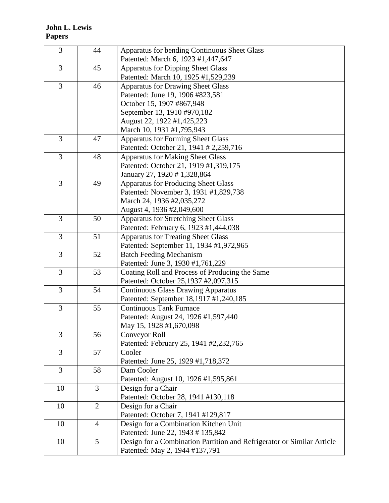**John L. Lewis Papers**

| 3              | 44             | Apparatus for bending Continuous Sheet Glass                           |
|----------------|----------------|------------------------------------------------------------------------|
|                |                | Patented: March 6, 1923 #1,447,647                                     |
| 3              | 45             | <b>Apparatus for Dipping Sheet Glass</b>                               |
|                |                | Patented: March 10, 1925 #1,529,239                                    |
| 3              | 46             | <b>Apparatus for Drawing Sheet Glass</b>                               |
|                |                | Patented: June 19, 1906 #823,581                                       |
|                |                | October 15, 1907 #867,948                                              |
|                |                | September 13, 1910 #970,182                                            |
|                |                | August 22, 1922 #1,425,223                                             |
|                |                | March 10, 1931 #1,795,943                                              |
| 3              | 47             | <b>Apparatus for Forming Sheet Glass</b>                               |
|                |                | Patented: October 21, 1941 # 2,259,716                                 |
| 3              | 48             | <b>Apparatus for Making Sheet Glass</b>                                |
|                |                | Patented: October 21, 1919 #1,319,175                                  |
|                |                | January 27, 1920 #1,328,864                                            |
| 3              | 49             | <b>Apparatus for Producing Sheet Glass</b>                             |
|                |                | Patented: November 3, 1931 #1,829,738                                  |
|                |                | March 24, 1936 #2,035,272                                              |
|                |                | August 4, 1936 #2,049,600                                              |
| 3              | 50             | <b>Apparatus for Stretching Sheet Glass</b>                            |
|                |                | Patented: February 6, 1923 #1,444,038                                  |
| 3              | 51             | <b>Apparatus for Treating Sheet Glass</b>                              |
|                |                | Patented: September 11, 1934 #1,972,965                                |
| 3              | 52             | <b>Batch Feeding Mechanism</b>                                         |
|                |                | Patented: June 3, 1930 #1,761,229                                      |
| $\overline{3}$ | 53             | Coating Roll and Process of Producing the Same                         |
|                |                | Patented: October 25,1937 #2,097,315                                   |
| 3              | 54             | <b>Continuous Glass Drawing Apparatus</b>                              |
|                |                | Patented: September 18,1917 #1,240,185                                 |
| 3              | 55             | <b>Continuous Tank Furnace</b>                                         |
|                |                | Patented: August 24, 1926 #1,597,440                                   |
|                |                | May 15, 1928 #1,670,098                                                |
| 3              | 56             | <b>Conveyor Roll</b>                                                   |
|                |                | Patented: February 25, 1941 #2,232,765                                 |
| 3              | 57             | Cooler                                                                 |
|                |                | Patented: June 25, 1929 #1,718,372                                     |
| 3              | 58             | Dam Cooler                                                             |
|                |                | Patented: August 10, 1926 #1,595,861                                   |
| 10             | 3              | Design for a Chair                                                     |
|                |                | Patented: October 28, 1941 #130,118                                    |
| 10             | $\overline{2}$ | Design for a Chair                                                     |
|                |                | Patented: October 7, 1941 #129,817                                     |
| 10             | $\overline{4}$ | Design for a Combination Kitchen Unit                                  |
|                |                | Patented: June 22, 1943 # 135,842                                      |
| 10             | 5              | Design for a Combination Partition and Refrigerator or Similar Article |
|                |                | Patented: May 2, 1944 #137,791                                         |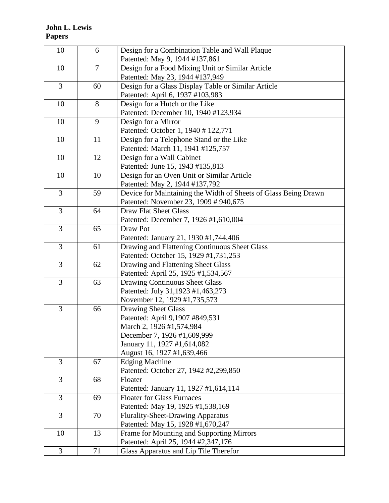**John L. Lewis Papers**

| 10             | 6              | Design for a Combination Table and Wall Plaque                  |
|----------------|----------------|-----------------------------------------------------------------|
|                |                | Patented: May 9, 1944 #137,861                                  |
| 10             | $\overline{7}$ | Design for a Food Mixing Unit or Similar Article                |
|                |                | Patented: May 23, 1944 #137,949                                 |
| 3              | 60             | Design for a Glass Display Table or Similar Article             |
|                |                | Patented: April 6, 1937 #103,983                                |
| 10             | 8              | Design for a Hutch or the Like                                  |
|                |                | Patented: December 10, 1940 #123,934                            |
| 10             | 9              | Design for a Mirror                                             |
|                |                | Patented: October 1, 1940 # 122,771                             |
| 10             | 11             | Design for a Telephone Stand or the Like                        |
|                |                | Patented: March 11, 1941 #125,757                               |
| 10             | 12             | Design for a Wall Cabinet                                       |
|                |                | Patented: June 15, 1943 #135,813                                |
| 10             | 10             | Design for an Oven Unit or Similar Article                      |
|                |                | Patented: May 2, 1944 #137,792                                  |
| 3              | 59             | Device for Maintaining the Width of Sheets of Glass Being Drawn |
|                |                | Patented: November 23, 1909 # 940,675                           |
| $\overline{3}$ | 64             | <b>Draw Flat Sheet Glass</b>                                    |
|                |                | Patented: December 7, 1926 #1,610,004                           |
| 3              | 65             | Draw Pot                                                        |
|                |                | Patented: January 21, 1930 #1,744,406                           |
| 3              | 61             | Drawing and Flattening Continuous Sheet Glass                   |
|                |                | Patented: October 15, 1929 #1,731,253                           |
| 3              | 62             | Drawing and Flattening Sheet Glass                              |
|                |                | Patented: April 25, 1925 #1,534,567                             |
| $\overline{3}$ | 63             | <b>Drawing Continuous Sheet Glass</b>                           |
|                |                | Patented: July 31,1923 #1,463,273                               |
|                |                | November 12, 1929 #1,735,573                                    |
| 3              | 66             | <b>Drawing Sheet Glass</b>                                      |
|                |                | Patented: April 9,1907 #849,531                                 |
|                |                | March 2, 1926 #1,574,984                                        |
|                |                | December 7, 1926 #1,609,999                                     |
|                |                | January 11, 1927 #1,614,082                                     |
|                |                | August 16, 1927 #1,639,466                                      |
| 3              | 67             | <b>Edging Machine</b>                                           |
|                |                | Patented: October 27, 1942 #2,299,850                           |
| 3              | 68             | Floater                                                         |
|                |                | Patented: January 11, 1927 #1,614,114                           |
| 3              | 69             | <b>Floater for Glass Furnaces</b>                               |
|                |                | Patented: May 19, 1925 #1,538,169                               |
| 3              | 70             | <b>Flurality-Sheet-Drawing Apparatus</b>                        |
|                |                | Patented: May 15, 1928 #1,670,247                               |
| 10             | 13             | Frame for Mounting and Supporting Mirrors                       |
|                |                | Patented: April 25, 1944 #2,347,176                             |
| 3              | 71             | Glass Apparatus and Lip Tile Therefor                           |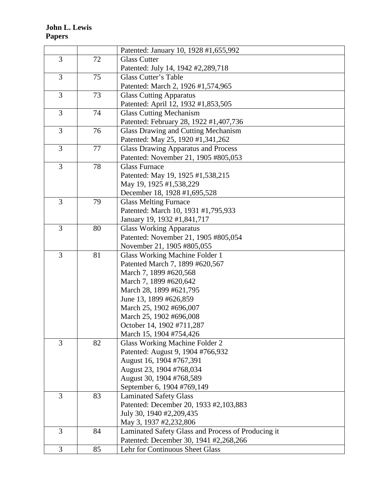|   |    | Patented: January 10, 1928 #1,655,992                                                        |
|---|----|----------------------------------------------------------------------------------------------|
| 3 | 72 | <b>Glass Cutter</b>                                                                          |
|   |    | Patented: July 14, 1942 #2,289,718                                                           |
| 3 | 75 | Glass Cutter's Table                                                                         |
|   |    | Patented: March 2, 1926 #1,574,965                                                           |
| 3 | 73 | <b>Glass Cutting Apparatus</b>                                                               |
|   |    | Patented: April 12, 1932 #1,853,505                                                          |
| 3 | 74 | <b>Glass Cutting Mechanism</b>                                                               |
|   |    | Patented: February 28, 1922 #1,407,736                                                       |
| 3 | 76 | <b>Glass Drawing and Cutting Mechanism</b>                                                   |
|   |    | Patented: May 25, 1920 #1,341,262                                                            |
| 3 | 77 | <b>Glass Drawing Apparatus and Process</b>                                                   |
|   |    | Patented: November 21, 1905 #805,053                                                         |
| 3 | 78 | <b>Glass Furnace</b>                                                                         |
|   |    | Patented: May 19, 1925 #1,538,215                                                            |
|   |    | May 19, 1925 #1,538,229                                                                      |
|   |    | December 18, 1928 #1,695,528                                                                 |
| 3 | 79 | <b>Glass Melting Furnace</b>                                                                 |
|   |    | Patented: March 10, 1931 #1,795,933                                                          |
|   |    | January 19, 1932 #1,841,717                                                                  |
| 3 | 80 | <b>Glass Working Apparatus</b>                                                               |
|   |    | Patented: November 21, 1905 #805,054                                                         |
|   |    | November 21, 1905 #805,055                                                                   |
| 3 | 81 | Glass Working Machine Folder 1                                                               |
|   |    | Patented March 7, 1899 #620,567                                                              |
|   |    | March 7, 1899 #620,568                                                                       |
|   |    | March 7, 1899 #620,642                                                                       |
|   |    | March 28, 1899 #621,795                                                                      |
|   |    | June 13, 1899 #626,859                                                                       |
|   |    | March 25, 1902 #696,007                                                                      |
|   |    | March 25, 1902 #696,008                                                                      |
|   |    | October 14, 1902 #711,287                                                                    |
|   |    | March 15, 1904 #754,426                                                                      |
| 3 | 82 | Glass Working Machine Folder 2                                                               |
|   |    | Patented: August 9, 1904 #766,932                                                            |
|   |    | August 16, 1904 #767,391                                                                     |
|   |    | August 23, 1904 #768,034                                                                     |
|   |    |                                                                                              |
|   |    | August 30, 1904 #768,589                                                                     |
|   |    |                                                                                              |
| 3 | 83 | September 6, 1904 #769,149<br><b>Laminated Safety Glass</b>                                  |
|   |    | Patented: December 20, 1933 #2,103,883                                                       |
|   |    | July 30, 1940 #2,209,435                                                                     |
|   |    | May 3, 1937 #2,232,806                                                                       |
| 3 | 84 |                                                                                              |
|   |    | Laminated Safety Glass and Process of Producing it<br>Patented: December 30, 1941 #2,268,266 |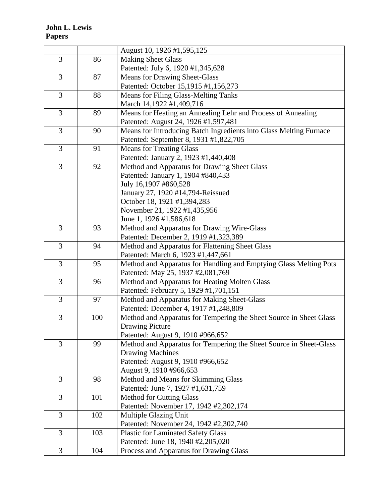|   |     | August 10, 1926 #1,595,125                                         |
|---|-----|--------------------------------------------------------------------|
| 3 | 86  | <b>Making Sheet Glass</b>                                          |
|   |     | Patented: July 6, 1920 #1,345,628                                  |
| 3 | 87  | <b>Means for Drawing Sheet-Glass</b>                               |
|   |     | Patented: October 15,1915 #1,156,273                               |
| 3 | 88  | <b>Means for Filing Glass-Melting Tanks</b>                        |
|   |     | March 14,1922 #1,409,716                                           |
| 3 | 89  | Means for Heating an Annealing Lehr and Process of Annealing       |
|   |     | Patented: August 24, 1926 #1,597,481                               |
| 3 | 90  | Means for Introducing Batch Ingredients into Glass Melting Furnace |
|   |     | Patented: September 8, 1931 #1,822,705                             |
| 3 | 91  | <b>Means for Treating Glass</b>                                    |
|   |     | Patented: January 2, 1923 #1,440,408                               |
| 3 | 92  | Method and Apparatus for Drawing Sheet Glass                       |
|   |     | Patented: January 1, 1904 #840,433                                 |
|   |     | July 16,1907 #860,528                                              |
|   |     | January 27, 1920 #14,794-Reissued                                  |
|   |     | October 18, 1921 #1,394,283                                        |
|   |     | November 21, 1922 #1,435,956                                       |
|   |     | June 1, 1926 #1,586,618                                            |
| 3 | 93  | Method and Apparatus for Drawing Wire-Glass                        |
|   |     | Patented: December 2, 1919 #1,323,389                              |
| 3 | 94  | Method and Apparatus for Flattening Sheet Glass                    |
|   |     | Patented: March 6, 1923 #1,447,661                                 |
| 3 | 95  | Method and Apparatus for Handling and Emptying Glass Melting Pots  |
|   |     | Patented: May 25, 1937 #2,081,769                                  |
| 3 | 96  | Method and Apparatus for Heating Molten Glass                      |
|   |     | Patented: February 5, 1929 #1,701,151                              |
| 3 | 97  | Method and Apparatus for Making Sheet-Glass                        |
|   |     | Patented: December 4, 1917 #1,248,809                              |
| 3 | 100 | Method and Apparatus for Tempering the Sheet Source in Sheet Glass |
|   |     | <b>Drawing Picture</b>                                             |
|   |     | Patented: August 9, 1910 #966,652                                  |
| 3 | 99  | Method and Apparatus for Tempering the Sheet Source in Sheet-Glass |
|   |     | <b>Drawing Machines</b>                                            |
|   |     | Patented: August 9, 1910 #966,652                                  |
|   |     | August 9, 1910 #966,653                                            |
| 3 | 98  | Method and Means for Skimming Glass                                |
|   |     | Patented: June 7, 1927 #1,631,759                                  |
| 3 | 101 | <b>Method for Cutting Glass</b>                                    |
|   |     | Patented: November 17, 1942 #2,302,174                             |
| 3 | 102 | Multiple Glazing Unit                                              |
|   |     | Patented: November 24, 1942 #2,302,740                             |
| 3 | 103 | <b>Plastic for Laminated Safety Glass</b>                          |
|   |     | Patented: June 18, 1940 #2,205,020                                 |
| 3 | 104 | Process and Apparatus for Drawing Glass                            |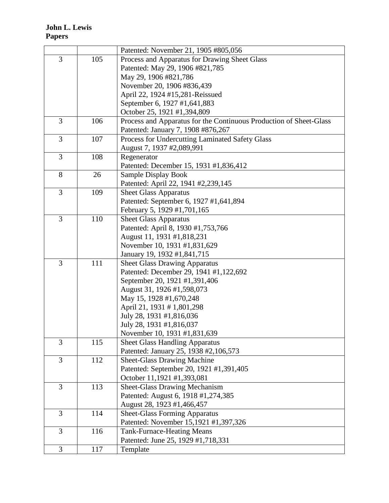|   |     | Patented: November 21, 1905 #805,056                               |
|---|-----|--------------------------------------------------------------------|
| 3 | 105 | Process and Apparatus for Drawing Sheet Glass                      |
|   |     | Patented: May 29, 1906 #821,785                                    |
|   |     | May 29, 1906 #821,786                                              |
|   |     | November 20, 1906 #836,439                                         |
|   |     | April 22, 1924 #15,281-Reissued                                    |
|   |     | September 6, 1927 #1,641,883                                       |
|   |     | October 25, 1921 #1,394,809                                        |
| 3 | 106 | Process and Apparatus for the Continuous Production of Sheet-Glass |
|   |     | Patented: January 7, 1908 #876,267                                 |
| 3 | 107 | Process for Undercutting Laminated Safety Glass                    |
|   |     | August 7, 1937 #2,089,991                                          |
| 3 | 108 | Regenerator                                                        |
|   |     | Patented: December 15, 1931 #1,836,412                             |
| 8 | 26  | Sample Display Book                                                |
|   |     | Patented: April 22, 1941 #2,239,145                                |
| 3 | 109 | <b>Sheet Glass Apparatus</b>                                       |
|   |     | Patented: September 6, 1927 #1,641,894                             |
|   |     | February 5, 1929 #1,701,165                                        |
| 3 | 110 | <b>Sheet Glass Apparatus</b>                                       |
|   |     | Patented: April 8, 1930 #1,753,766                                 |
|   |     | August 11, 1931 #1,818,231                                         |
|   |     | November 10, 1931 #1,831,629                                       |
|   |     | January 19, 1932 #1,841,715                                        |
| 3 | 111 | <b>Sheet Glass Drawing Apparatus</b>                               |
|   |     | Patented: December 29, 1941 #1,122,692                             |
|   |     | September 20, 1921 #1,391,406                                      |
|   |     | August 31, 1926 #1,598,073                                         |
|   |     | May 15, 1928 #1,670,248                                            |
|   |     | April 21, 1931 # 1,801,298                                         |
|   |     | July 28, 1931 #1,816,036                                           |
|   |     | July 28, 1931 #1,816,037                                           |
|   |     | November 10, 1931 #1,831,639                                       |
| 3 | 115 | <b>Sheet Glass Handling Apparatus</b>                              |
|   |     | Patented: January 25, 1938 #2,106,573                              |
| 3 | 112 | <b>Sheet-Glass Drawing Machine</b>                                 |
|   |     | Patented: September 20, 1921 #1,391,405                            |
|   |     | October 11,1921 #1,393,081                                         |
| 3 | 113 | <b>Sheet-Glass Drawing Mechanism</b>                               |
|   |     | Patented: August 6, 1918 #1,274,385                                |
|   |     | August 28, 1923 #1,466,457                                         |
| 3 | 114 | <b>Sheet-Glass Forming Apparatus</b>                               |
|   |     | Patented: November 15,1921 #1,397,326                              |
| 3 | 116 | <b>Tank-Furnace-Heating Means</b>                                  |
|   |     | Patented: June 25, 1929 #1,718,331                                 |
| 3 | 117 | Template                                                           |
|   |     |                                                                    |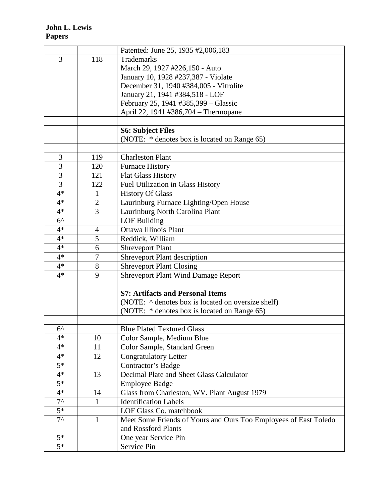|                 |                | Patented: June 25, 1935 #2,006,183                               |
|-----------------|----------------|------------------------------------------------------------------|
| 3               | 118            | <b>Trademarks</b>                                                |
|                 |                | March 29, 1927 #226,150 - Auto                                   |
|                 |                | January 10, 1928 #237,387 - Violate                              |
|                 |                | December 31, 1940 #384,005 - Vitrolite                           |
|                 |                | January 21, 1941 #384,518 - LOF                                  |
|                 |                | February 25, 1941 #385,399 – Glassic                             |
|                 |                | April 22, 1941 #386,704 - Thermopane                             |
|                 |                |                                                                  |
|                 |                | <b>S6: Subject Files</b>                                         |
|                 |                | (NOTE: * denotes box is located on Range 65)                     |
|                 |                |                                                                  |
| 3               | 119            | <b>Charleston Plant</b>                                          |
| $\overline{3}$  | 120            | Furnace History                                                  |
| $\overline{3}$  | 121            | <b>Flat Glass History</b>                                        |
| $\overline{3}$  | 122            | Fuel Utilization in Glass History                                |
| $4*$            | $\mathbf{1}$   | <b>History Of Glass</b>                                          |
| $4*$            | $\overline{2}$ | Laurinburg Furnace Lighting/Open House                           |
| $4*$            | 3              | Laurinburg North Carolina Plant                                  |
| $6^{\wedge}$    |                | <b>LOF Building</b>                                              |
| $4*$            | 4              | <b>Ottawa Illinois Plant</b>                                     |
| $4*$            | 5              | Reddick, William                                                 |
| $4*$            | 6              | <b>Shreveport Plant</b>                                          |
| $4*$            | 7              | <b>Shreveport Plant description</b>                              |
| $4*$            | 8              | <b>Shreveport Plant Closing</b>                                  |
| $4*$            | 9              | <b>Shreveport Plant Wind Damage Report</b>                       |
|                 |                |                                                                  |
|                 |                | <b>S7: Artifacts and Personal Items</b>                          |
|                 |                | (NOTE: $\land$ denotes box is located on oversize shelf)         |
|                 |                | (NOTE: * denotes box is located on Range 65)                     |
|                 |                |                                                                  |
| $6^{\wedge}$    |                | <b>Blue Plated Textured Glass</b>                                |
| $4*$            | 10             | Color Sample, Medium Blue                                        |
| $4*$            | 11             | Color Sample, Standard Green                                     |
| $4*$            | 12             | <b>Congratulatory Letter</b>                                     |
| $5*$            |                | Contractor's Badge                                               |
| $4*$            | 13             | Decimal Plate and Sheet Glass Calculator                         |
| $5*$            |                | <b>Employee Badge</b>                                            |
| $4*$            | 14             | Glass from Charleston, WV. Plant August 1979                     |
| $7^{\wedge}$    | 1              | Identification Labels                                            |
| $5*$            |                | LOF Glass Co. matchbook                                          |
| $7^{\wedge}$    | 1              | Meet Some Friends of Yours and Ours Too Employees of East Toledo |
|                 |                | and Rossford Plants                                              |
| $5*$            |                | One year Service Pin                                             |
| $\overline{5*}$ |                | Service Pin                                                      |